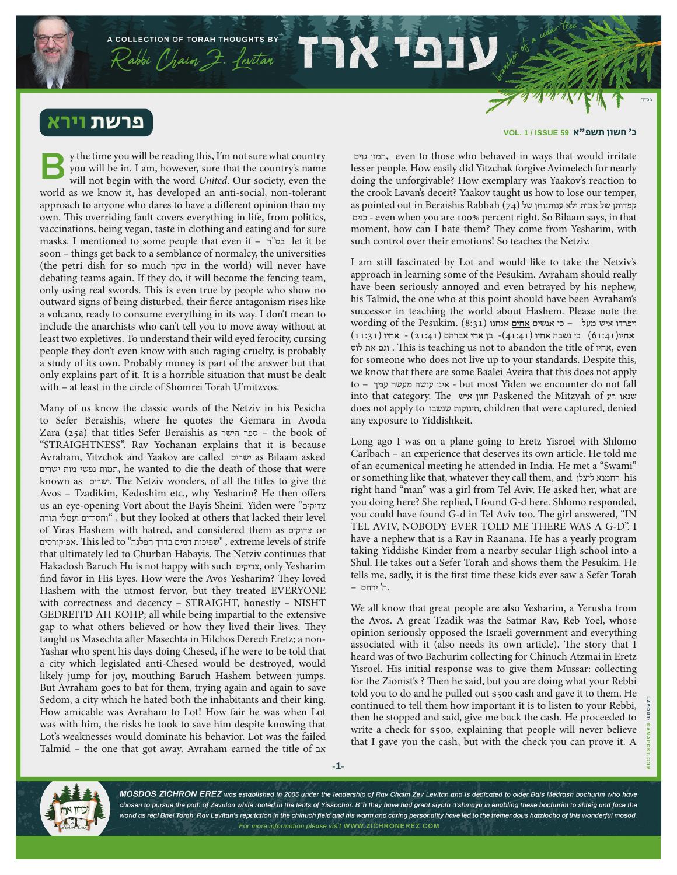## פרשת ויר

y the time you will be reading this, I'm not sure what country you will be in. I am, however, sure that the country's name will not begin with the word *United*. Our society, even the world as we know it, has developed an anti-social, non-tolerant approach to anyone who dares to have a different opinion than my own. This overriding fault covers everything in life, from politics, vaccinations, being vegan, taste in clothing and eating and for sure masks. I mentioned to some people that even if – ד"בס let it be soon – things get back to a semblance of normalcy, the universities (the petri dish for so much שקר in the world) will never have debating teams again. If they do, it will become the fencing team, only using real swords. This is even true by people who show no outward signs of being disturbed, their fierce antagonism rises like a volcano, ready to consume everything in its way. I don't mean to include the anarchists who can't tell you to move away without at least two expletives. To understand their wild eyed ferocity, cursing people they don't even know with such raging cruelty, is probably a study of its own. Probably money is part of the answer but that only explains part of it. It is a horrible situation that must be dealt with – at least in the circle of Shomrei Torah U'mitzvos. **B**

Many of us know the classic words of the Netziv in his Pesicha to Sefer Beraishis, where he quotes the Gemara in Avoda Zara (25a) that titles Sefer Beraishis as הישר ספר – the book of "STRAIGHTNESS". Rav Yochanan explains that it is because Avraham, Yitzchok and Yaakov are called ישרים as Bilaam asked ישרים מות נפשי תמות, he wanted to die the death of those that were known as ישרים. The Netziv wonders, of all the titles to give the Avos – Tzadikim, Kedoshim etc., why Yesharim? He then offers us an eye-opening Vort about the Bayis Sheini. Yiden were "צדיקים תורה ועמלי וחסידים ", but they looked at others that lacked their level of Yiras Hashem with hatred, and considered them as צדוקים or אפיקורסים. This led to "הפלגה בדרך דמים שפיכות ", extreme levels of strife that ultimately led to Churban Habayis. The Netziv continues that Hakadosh Baruch Hu is not happy with such צדיקים, only Yesharim find favor in His Eyes. How were the Avos Yesharim? They loved Hashem with the utmost fervor, but they treated EVERYONE with correctness and decency – STRAIGHT, honestly – NISHT GEDREITD AH KOHP; all while being impartial to the extensive gap to what others believed or how they lived their lives. They taught us Masechta after Masechta in Hilchos Derech Eretz; a non-Yashar who spent his days doing Chesed, if he were to be told that a city which legislated anti-Chesed would be destroyed, would likely jump for joy, mouthing Baruch Hashem between jumps. But Avraham goes to bat for them, trying again and again to save Sedom, a city which he hated both the inhabitants and their king. How amicable was Avraham to Lot! How fair he was when Lot was with him, the risks he took to save him despite knowing that Lot's weaknesses would dominate his behavior. Lot was the failed Talmid – the one that got away. Avraham earned the title of אב

## כ׳ חשון תשפ"א **59 ISSUE / 1 .VOL**

 גוים המון, even to those who behaved in ways that would irritate lesser people. How easily did Yitzchak forgive Avimelech for nearly doing the unforgivable? How exemplary was Yaakov's reaction to the crook Lavan's deceit? Yaakov taught us how to lose our temper, as pointed out in Beraishis Rabbah (74) קפדותן של אבות ולא ענותנותן של ה בנים - even when you are 100% percent right. So Bilaam says, in that moment, how can I hate them? They come from Yesharim, with such control over their emotions! So teaches the Netziv.

I am still fascinated by Lot and would like to take the Netziv's approach in learning some of the Pesukim. Avraham should really have been seriously annoyed and even betrayed by his nephew, his Talmid, the one who at this point should have been Avraham's successor in teaching the world about Hashem. Please note the ויפרדו איש מעל – כי אנשים <u>אחים</u> אנחנו (8:31) ויפרדו איש מעל ה **אחיו**)61:41( כי נשבה **אחיו** )41:41(- בן **אחי** אברהם )21:41( - **אחיו** )11:31( לוט את וגם . This is teaching us not to abandon the title of אחיו, even for someone who does not live up to your standards. Despite this, we know that there are some Baalei Aveira that this does not apply to – עמך מעשה עושה אינו - but most Yiden we encounter do not fall into that category. The חזון איש Paskened the Mitzvah of שנאו רע does not apply to שנשבו תינוקות, children that were captured, denied any exposure to Yiddishkeit.

Long ago I was on a plane going to Eretz Yisroel with Shlomo Carlbach – an experience that deserves its own article. He told me of an ecumenical meeting he attended in India. He met a "Swami" or something like that, whatever they call them, and ליצלן רחמנא his right hand "man" was a girl from Tel Aviv. He asked her, what are you doing here? She replied, I found G-d here. Shlomo responded, you could have found G-d in Tel Aviv too. The girl answered, "IN TEL AVIV, NOBODY EVER TOLD ME THERE WAS A G-D". I have a nephew that is a Rav in Raanana. He has a yearly program taking Yiddishe Kinder from a nearby secular High school into a Shul. He takes out a Sefer Torah and shows them the Pesukim. He tells me, sadly, it is the first time these kids ever saw a Sefer Torah .ה' ירחם –

We all know that great people are also Yesharim, a Yerusha from the Avos. A great Tzadik was the Satmar Rav, Reb Yoel, whose opinion seriously opposed the Israeli government and everything associated with it (also needs its own article). The story that I heard was of two Bachurim collecting for Chinuch Atzmai in Eretz Yisroel. His initial response was to give them Mussar: collecting for the Zionist's ? Then he said, but you are doing what your Rebbi told you to do and he pulled out \$500 cash and gave it to them. He continued to tell them how important it is to listen to your Rebbi, then he stopped and said, give me back the cash. He proceeded to write a check for \$500, explaining that people will never believe that I gave you the cash, but with the check you can prove it. A



MOSDOS ZICHRON EREZ was established in 2005 under the leadership of Rav Chaim Zev Levitan and is dedicated to older Bais Medrash bochurim who have chosen to pursue the path of Zevulon while rooted in the tents of Yissochor. B"h they have had great siyata d'shmaya in enabling these bochurim to shteig and face the world as real Bnei Torah. Rav Levitan's reputation in the chinuch field and his warm and caring personality have led to the tremendous hatzlocho of this wonderful mosod. For more information please visit WWW.ZICHRONEREZ.COM